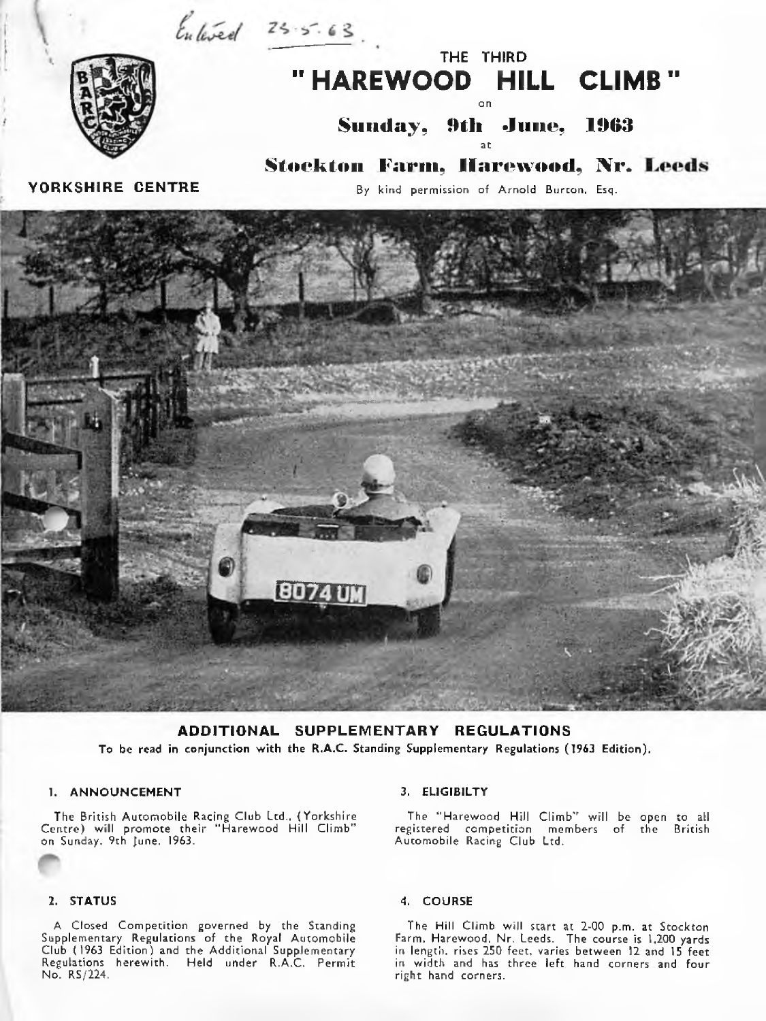$\frac{1}{2}$   $\frac{1}{25.5.63}$ .





**Sunday, 9th June, 1963** at

Stockton Farm, Harewood, Nr. Leeds

YORKSHIRE CENTRE

By kind permission of Arnold Burton, Esq.



ADDITIONAL SUPPLEMENTARY REGULATIONS To be read in conjunction with the R.A.C. Standing Supplementary Regulations (1963 Edition).

# 1. ANNOUNCEMENT

The British Automobile Racing Club Ltd., {Yorkshire Centre) will promote their "Harewood Hill Climb" on Sunday, 9th June, 1963.

# 2. STATUS

A Closed Competition governed by the Standing Supplementary Regulations of the Royal Automobile Club (1963 Edition) and the Additional Supplementary Regulations herewith. Held under R.A.C. Permit No. RS/224.

# 3. ELIGIBILTY

The "Harewood Hill Climb" will be open to all registered competition members of the British Automobile Racing Club Ltd.

### *4 .* COURSE

The Hill Climb will start at 2-00 p.m. at Stockton Farm, Harewood, Nr. Leeds. The course is 1,200 yards in length, rises 250 feet, varies between 12 and 15 feet in width and has three left hand corners and four right hand corners.